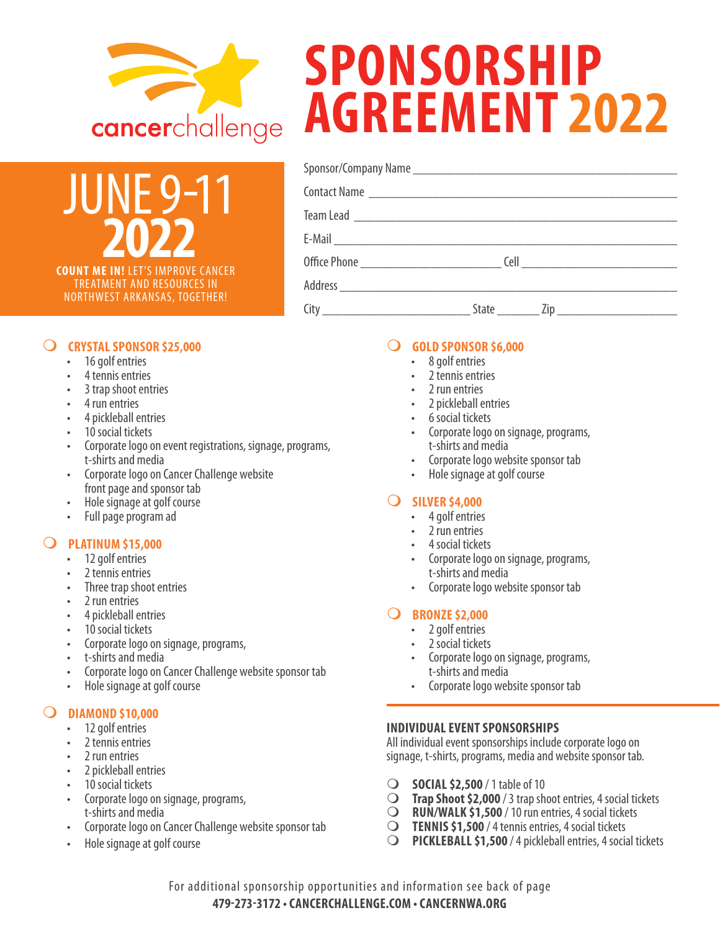



TREATMENT AND RESOURCES IN NORTHWEST ARKANSAS, TOGETHER!

# **SPONSORSHIP AGREEMENT 2022**

## **C** CRYSTAL SPONSOR \$25,000

- 16 golf entries
- 4 tennis entries
- 3 trap shoot entries
- • 4run entries
- 4 pickleball entries
- 10 social tickets
- Corporate logo on event registrations, signage, programs,<br>t-shirts and media
- Corporate logo on Cancer Challenge website front page and sponsor tab
- Hole signage at golf course
- Full page program ad

### m **PLATINUM \$15,000**

- 12 golf entries
- 2 tennis entries
- Three trap shoot entries
- 2 run entries
- 4 pickleball entries
- 10 social tickets
- Corporate logo on signage, programs,
- • t-shirtsand media
- Corporate logo on Cancer Challenge website sponsor tab
- Hole signage at golf course

### **O** DIAMOND \$10,000

- 12 golf entries
- 2 tennis entries
- • 2run entries
- 2 pickleball entries
- 10 social tickets
- Corporate logo on signage, programs, t-shirts and media
- Corporate logo on Cancer Challenge website sponsor tab
- Hole signage at golf course

### **GOLD SPONSOR \$6,000**

- 8 golf entries
- 2 tennis entries
- 2 run entries
- 2 pickleball entries
- 6 social tickets
- Corporate logo on signage, programs,<br>t-shirts and media
- Corporate logo website sponsor tab
- Hole signage at golf course

### **SILVER \$4,000**

- • 4golfentries
- 2 run entries
- • 4social tickets
- Corporate logo on signage, programs,<br>t-shirts and media
- Corporate logo website sponsor tab

### **BRONZE \$2,000**

- 2 golf entries
- • 2social tickets
- Corporate logo on signage, programs, t-shirts and media
- Corporate logo website sponsor tab

#### **INDIVIDUAL EVENT SPONSORSHIPS**

All individual event sponsorships include corporate logo on signage, t-shirts, programs, media and website sponsor tab.

- $\bigcirc$  **SOCIAL \$2,500** / 1 table of 10
- **O** Trap Shoot \$2,000 / 3 trap shoot entries, 4 social tickets
- $\odot$  **RUN/WALK \$1,500** / 10 run entries, 4 social tickets
- **O** TENNIS \$1,500 / 4 tennis entries, 4 social tickets
- **O** PICKLEBALL \$1,500 / 4 pickleball entries, 4 social tickets

For additional sponsorship opportunities and information see back of page **479-273-3172 • CANCERCHALLENGE.COM • CANCERNWA.ORG**